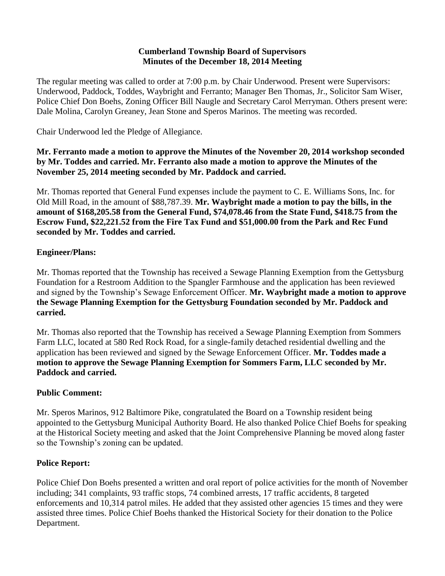#### **Cumberland Township Board of Supervisors Minutes of the December 18, 2014 Meeting**

The regular meeting was called to order at 7:00 p.m. by Chair Underwood. Present were Supervisors: Underwood, Paddock, Toddes, Waybright and Ferranto; Manager Ben Thomas, Jr., Solicitor Sam Wiser, Police Chief Don Boehs, Zoning Officer Bill Naugle and Secretary Carol Merryman. Others present were: Dale Molina, Carolyn Greaney, Jean Stone and Speros Marinos. The meeting was recorded.

Chair Underwood led the Pledge of Allegiance.

#### **Mr. Ferranto made a motion to approve the Minutes of the November 20, 2014 workshop seconded by Mr. Toddes and carried. Mr. Ferranto also made a motion to approve the Minutes of the November 25, 2014 meeting seconded by Mr. Paddock and carried.**

Mr. Thomas reported that General Fund expenses include the payment to C. E. Williams Sons, Inc. for Old Mill Road, in the amount of \$88,787.39. **Mr. Waybright made a motion to pay the bills, in the amount of \$168,205.58 from the General Fund, \$74,078.46 from the State Fund, \$418.75 from the Escrow Fund, \$22,221.52 from the Fire Tax Fund and \$51,000.00 from the Park and Rec Fund seconded by Mr. Toddes and carried.**

## **Engineer/Plans:**

Mr. Thomas reported that the Township has received a Sewage Planning Exemption from the Gettysburg Foundation for a Restroom Addition to the Spangler Farmhouse and the application has been reviewed and signed by the Township's Sewage Enforcement Officer. **Mr. Waybright made a motion to approve the Sewage Planning Exemption for the Gettysburg Foundation seconded by Mr. Paddock and carried.** 

Mr. Thomas also reported that the Township has received a Sewage Planning Exemption from Sommers Farm LLC, located at 580 Red Rock Road, for a single-family detached residential dwelling and the application has been reviewed and signed by the Sewage Enforcement Officer. **Mr. Toddes made a motion to approve the Sewage Planning Exemption for Sommers Farm, LLC seconded by Mr. Paddock and carried.**

## **Public Comment:**

Mr. Speros Marinos, 912 Baltimore Pike, congratulated the Board on a Township resident being appointed to the Gettysburg Municipal Authority Board. He also thanked Police Chief Boehs for speaking at the Historical Society meeting and asked that the Joint Comprehensive Planning be moved along faster so the Township's zoning can be updated.

## **Police Report:**

Police Chief Don Boehs presented a written and oral report of police activities for the month of November including; 341 complaints, 93 traffic stops, 74 combined arrests, 17 traffic accidents, 8 targeted enforcements and 10,314 patrol miles. He added that they assisted other agencies 15 times and they were assisted three times. Police Chief Boehs thanked the Historical Society for their donation to the Police Department.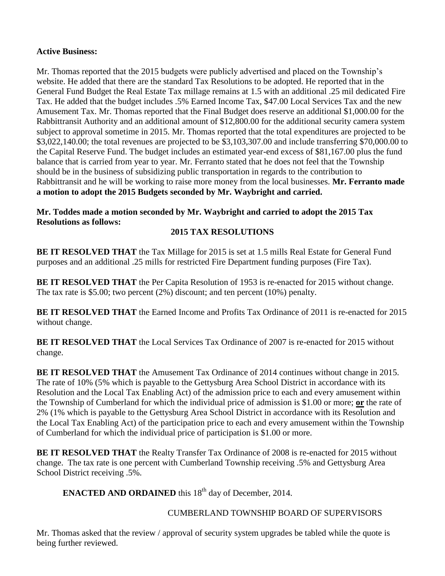#### **Active Business:**

Mr. Thomas reported that the 2015 budgets were publicly advertised and placed on the Township's website. He added that there are the standard Tax Resolutions to be adopted. He reported that in the General Fund Budget the Real Estate Tax millage remains at 1.5 with an additional .25 mil dedicated Fire Tax. He added that the budget includes .5% Earned Income Tax, \$47.00 Local Services Tax and the new Amusement Tax. Mr. Thomas reported that the Final Budget does reserve an additional \$1,000.00 for the Rabbittransit Authority and an additional amount of \$12,800.00 for the additional security camera system subject to approval sometime in 2015. Mr. Thomas reported that the total expenditures are projected to be \$3,022,140.00; the total revenues are projected to be \$3,103,307.00 and include transferring \$70,000.00 to the Capital Reserve Fund. The budget includes an estimated year-end excess of \$81,167.00 plus the fund balance that is carried from year to year. Mr. Ferranto stated that he does not feel that the Township should be in the business of subsidizing public transportation in regards to the contribution to Rabbittransit and he will be working to raise more money from the local businesses. **Mr. Ferranto made a motion to adopt the 2015 Budgets seconded by Mr. Waybright and carried.**

**Mr. Toddes made a motion seconded by Mr. Waybright and carried to adopt the 2015 Tax Resolutions as follows:**

## **2015 TAX RESOLUTIONS**

**BE IT RESOLVED THAT** the Tax Millage for 2015 is set at 1.5 mills Real Estate for General Fund purposes and an additional .25 mills for restricted Fire Department funding purposes (Fire Tax).

**BE IT RESOLVED THAT** the Per Capita Resolution of 1953 is re-enacted for 2015 without change. The tax rate is \$5.00; two percent (2%) discount; and ten percent (10%) penalty.

**BE IT RESOLVED THAT** the Earned Income and Profits Tax Ordinance of 2011 is re-enacted for 2015 without change.

**BE IT RESOLVED THAT** the Local Services Tax Ordinance of 2007 is re-enacted for 2015 without change.

**BE IT RESOLVED THAT** the Amusement Tax Ordinance of 2014 continues without change in 2015. The rate of 10% (5% which is payable to the Gettysburg Area School District in accordance with its Resolution and the Local Tax Enabling Act) of the admission price to each and every amusement within the Township of Cumberland for which the individual price of admission is \$1.00 or more; **or** the rate of 2% (1% which is payable to the Gettysburg Area School District in accordance with its Resolution and the Local Tax Enabling Act) of the participation price to each and every amusement within the Township of Cumberland for which the individual price of participation is \$1.00 or more.

**BE IT RESOLVED THAT** the Realty Transfer Tax Ordinance of 2008 is re-enacted for 2015 without change. The tax rate is one percent with Cumberland Township receiving .5% and Gettysburg Area School District receiving .5%.

**ENACTED AND ORDAINED** this 18<sup>th</sup> day of December, 2014.

## CUMBERLAND TOWNSHIP BOARD OF SUPERVISORS

Mr. Thomas asked that the review / approval of security system upgrades be tabled while the quote is being further reviewed.